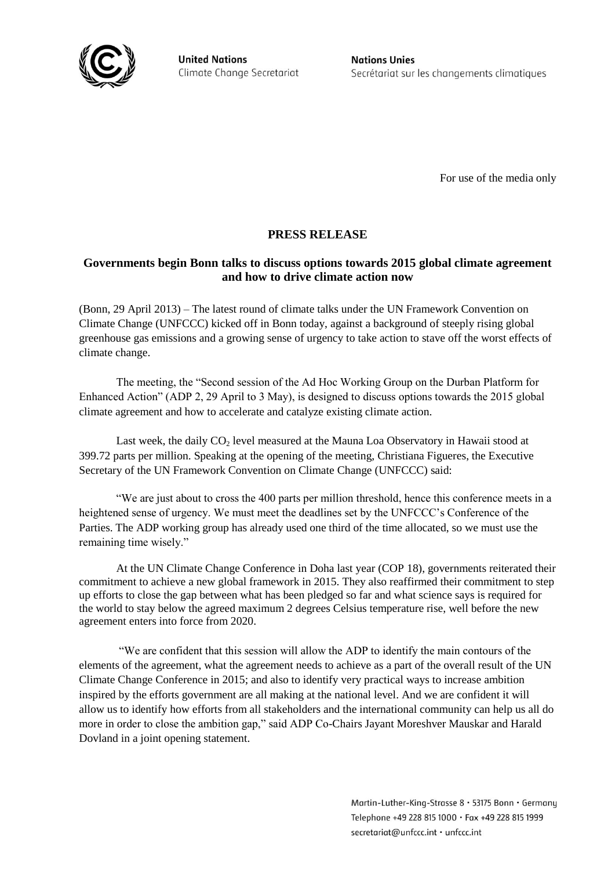

**United Nations** Climate Change Secretariat **Nations Unies** Secrétariat sur les changements climatiques

For use of the media only

# **PRESS RELEASE**

## **Governments begin Bonn talks to discuss options towards 2015 global climate agreement and how to drive climate action now**

(Bonn, 29 April 2013) – The latest round of climate talks under the UN Framework Convention on Climate Change (UNFCCC) kicked off in Bonn today, against a background of steeply rising global greenhouse gas emissions and a growing sense of urgency to take action to stave off the worst effects of climate change.

The meeting, the "Second session of the Ad Hoc Working Group on the Durban Platform for Enhanced Action" (ADP 2, 29 April to 3 May), is designed to discuss options towards the 2015 global climate agreement and how to accelerate and catalyze existing climate action.

Last week, the daily  $CO<sub>2</sub>$  level measured at the Mauna Loa Observatory in Hawaii stood at 399.72 parts per million. Speaking at the opening of the meeting, Christiana Figueres, the Executive Secretary of the UN Framework Convention on Climate Change (UNFCCC) said:

"We are just about to cross the 400 parts per million threshold, hence this conference meets in a heightened sense of urgency. We must meet the deadlines set by the UNFCCC's Conference of the Parties. The ADP working group has already used one third of the time allocated, so we must use the remaining time wisely."

At the UN Climate Change Conference in Doha last year (COP 18), governments reiterated their commitment to achieve a new global framework in 2015. They also reaffirmed their commitment to step up efforts to close the gap between what has been pledged so far and what science says is required for the world to stay below the agreed maximum 2 degrees Celsius temperature rise, well before the new agreement enters into force from 2020.

"We are confident that this session will allow the ADP to identify the main contours of the elements of the agreement, what the agreement needs to achieve as a part of the overall result of the UN Climate Change Conference in 2015; and also to identify very practical ways to increase ambition inspired by the efforts government are all making at the national level. And we are confident it will allow us to identify how efforts from all stakeholders and the international community can help us all do more in order to close the ambition gap," said ADP Co-Chairs Jayant Moreshver Mauskar and Harald Dovland in a joint opening statement.

> Martin-Luther-King-Strasse 8 · 53175 Bonn · Germany Telephone +49 228 815 1000 · Fax +49 228 815 1999 secretariat@unfccc.int · unfccc.int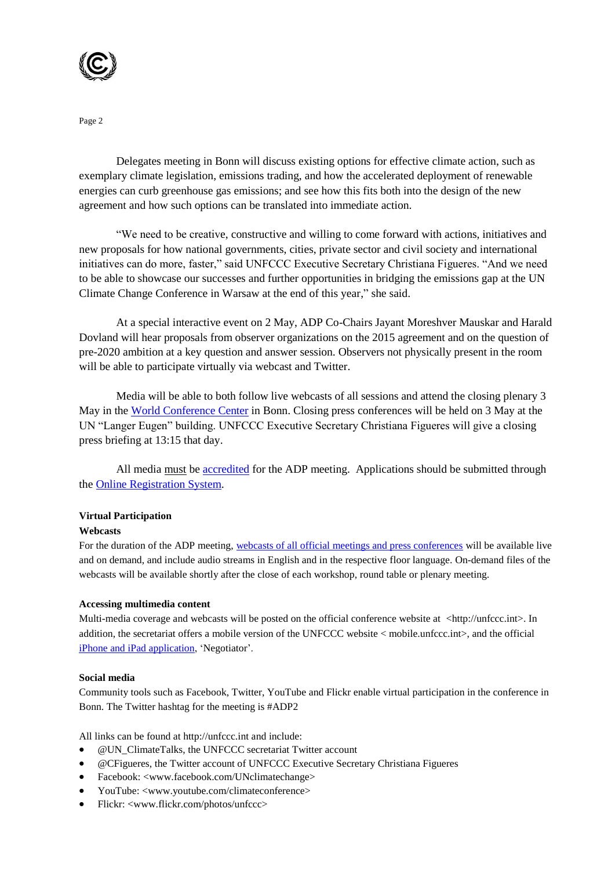

Page 2

Delegates meeting in Bonn will discuss existing options for effective climate action, such as exemplary climate legislation, emissions trading, and how the accelerated deployment of renewable energies can curb greenhouse gas emissions; and see how this fits both into the design of the new agreement and how such options can be translated into immediate action.

"We need to be creative, constructive and willing to come forward with actions, initiatives and new proposals for how national governments, cities, private sector and civil society and international initiatives can do more, faster," said UNFCCC Executive Secretary Christiana Figueres. "And we need to be able to showcase our successes and further opportunities in bridging the emissions gap at the UN Climate Change Conference in Warsaw at the end of this year," she said.

At a special interactive event on 2 May, ADP Co-Chairs Jayant Moreshver Mauskar and Harald Dovland will hear proposals from observer organizations on the 2015 agreement and on the question of pre-2020 ambition at a key question and answer session. Observers not physically present in the room will be able to participate virtually via webcast and Twitter.

Media will be able to both follow live webcasts of all sessions and attend the closing plenary 3 May in the [World Conference Center](http://www.worldccbonn.com/en/contact/directions/) in Bonn. Closing press conferences will be held on 3 May at the UN "Langer Eugen" building. UNFCCC Executive Secretary Christiana Figueres will give a closing press briefing at 13:15 that day.

All media must be [accredited](http://unfccc.int/press/calender_of_events/accreditation/items/2987.php) for the ADP meeting. Applications should be submitted through th[e Online Registration System.](https://onlinereg.unfccc.int/)

#### **Virtual Participation**

#### **Webcasts**

For the duration of the ADP meeting[, webcasts of all official meetings and press conferences](http://unfccc.int/meetings/bonn_apr_2013/meeting/7386/php/view/virtualparticipation.php) will be available live and on demand, and include audio streams in English and in the respective floor language. On-demand files of the webcasts will be available shortly after the close of each workshop, round table or plenary meeting.

#### **Accessing multimedia content**

Multi-media coverage and webcasts will be posted on the official conference website at <http://unfccc.int>. In addition, the secretariat offers a mobile version of the UNFCCC website < mobile.unfccc.int>, and the official [iPhone and iPad application,](http://unfccc.int/iphoneapp) 'Negotiator'.

#### **Social media**

Community tools such as Facebook, Twitter, YouTube and Flickr enable virtual participation in the conference in Bonn. The Twitter hashtag for the meeting is #ADP2

All links can be found at http://unfccc.int and include:

- @UN\_ClimateTalks, the UNFCCC secretariat Twitter account
- @CFigueres, the Twitter account of UNFCCC Executive Secretary Christiana Figueres
- Facebook: <www.facebook.com/UNclimatechange>
- YouTube: <www.youtube.com/climateconference>
- Flickr: <www.flickr.com/photos/unfccc>